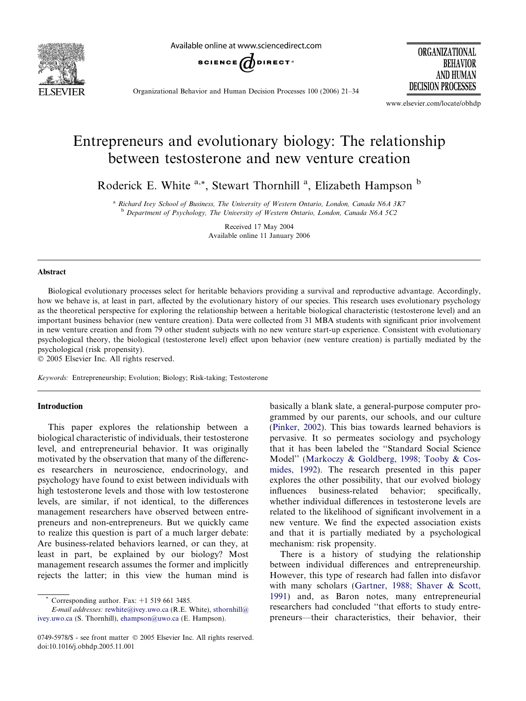

Available online at www.sciencedirect.com



ORGANIZATIONAL **REHAVIOR AND HUMAN DECISION PROCESSES** 

Organizational Behavior and Human Decision Processes 100 (2006) 21–34

www.elsevier.com/locate/obhdp

# Entrepreneurs and evolutionary biology: The relationship between testosterone and new venture creation

Roderick E. White <sup>a,\*</sup>, Stewart Thornhill <sup>a</sup>, Elizabeth Hampson <sup>b</sup>

<sup>a</sup> Richard Ivey School of Business, The University of Western Ontario, London, Canada N6A 3K7 <sup>b</sup> Department of Psychology, The University of Western Ontario, London, Canada N6A 5C2

> Received 17 May 2004 Available online 11 January 2006

# Abstract

Biological evolutionary processes select for heritable behaviors providing a survival and reproductive advantage. Accordingly, how we behave is, at least in part, affected by the evolutionary history of our species. This research uses evolutionary psychology as the theoretical perspective for exploring the relationship between a heritable biological characteristic (testosterone level) and an important business behavior (new venture creation). Data were collected from 31 MBA students with significant prior involvement in new venture creation and from 79 other student subjects with no new venture start-up experience. Consistent with evolutionary psychological theory, the biological (testosterone level) effect upon behavior (new venture creation) is partially mediated by the psychological (risk propensity).

© 2005 Elsevier Inc. All rights reserved.

Keywords: Entrepreneurship; Evolution; Biology; Risk-taking; Testosterone

## Introduction

This paper explores the relationship between a biological characteristic of individuals, their testosterone level, and entrepreneurial behavior. It was originally motivated by the observation that many of the differences researchers in neuroscience, endocrinology, and psychology have found to exist between individuals with high testosterone levels and those with low testosterone levels, are similar, if not identical, to the differences management researchers have observed between entrepreneurs and non-entrepreneurs. But we quickly came to realize this question is part of a much larger debate: Are business-related behaviors learned, or can they, at least in part, be explained by our biology? Most management research assumes the former and implicitly rejects the latter; in this view the human mind is

E-mail addresses: [rewhite@ivey.uwo.ca](mailto:rewhite@ivey.uwo.ca) (R.E. White), [sthornhill@](mailto:sthornhill@ ivey.uwo.ca) [ivey.uwo.ca](mailto:sthornhill@ ivey.uwo.ca) (S. Thornhill), [ehampson@uwo.ca](mailto:ehampson@uwo.ca) (E. Hampson).

basically a blank slate, a general-purpose computer programmed by our parents, our schools, and our culture ([Pinker, 2002\)](#page-13-0). This bias towards learned behaviors is pervasive. It so permeates sociology and psychology that it has been labeled the ''Standard Social Science Model'' [\(Markoczy & Goldberg, 1998; Tooby & Cos](#page-12-0)[mides, 1992](#page-12-0)). The research presented in this paper explores the other possibility, that our evolved biology influences business-related behavior; specifically, whether individual differences in testosterone levels are related to the likelihood of significant involvement in a new venture. We find the expected association exists and that it is partially mediated by a psychological mechanism: risk propensity.

There is a history of studying the relationship between individual differences and entrepreneurship. However, this type of research had fallen into disfavor with many scholars ([Gartner, 1988; Shaver & Scott,](#page-12-0) [1991](#page-12-0)) and, as Baron notes, many entrepreneurial researchers had concluded ''that efforts to study entrepreneurs—their characteristics, their behavior, their

Corresponding author. Fax:  $+1$  519 661 3485.

<sup>0749-5978/\$ -</sup> see front matter © 2005 Elsevier Inc. All rights reserved. doi:10.1016/j.obhdp.2005.11.001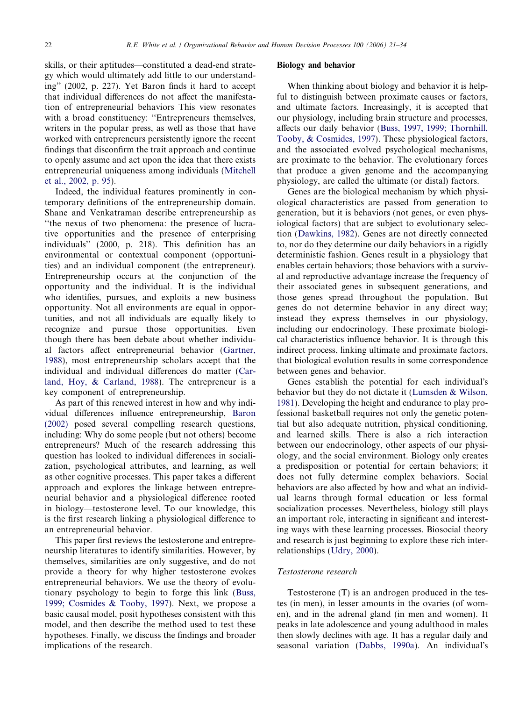skills, or their aptitudes—constituted a dead-end strategy which would ultimately add little to our understanding'' (2002, p. 227). Yet Baron finds it hard to accept that individual differences do not affect the manifestation of entrepreneurial behaviors This view resonates with a broad constituency: ''Entrepreneurs themselves, writers in the popular press, as well as those that have worked with entrepreneurs persistently ignore the recent findings that disconfirm the trait approach and continue to openly assume and act upon the idea that there exists entrepreneurial uniqueness among individuals [\(Mitchell](#page-12-0) [et al., 2002, p. 95\)](#page-12-0).

Indeed, the individual features prominently in contemporary definitions of the entrepreneurship domain. Shane and Venkatraman describe entrepreneurship as ''the nexus of two phenomena: the presence of lucrative opportunities and the presence of enterprising individuals'' (2000, p. 218). This definition has an environmental or contextual component (opportunities) and an individual component (the entrepreneur). Entrepreneurship occurs at the conjunction of the opportunity and the individual. It is the individual who identifies, pursues, and exploits a new business opportunity. Not all environments are equal in opportunities, and not all individuals are equally likely to recognize and pursue those opportunities. Even though there has been debate about whether individual factors affect entrepreneurial behavior ([Gartner,](#page-12-0) [1988\)](#page-12-0), most entrepreneurship scholars accept that the individual and individual differences do matter [\(Car](#page-11-0)[land, Hoy, & Carland, 1988\)](#page-11-0). The entrepreneur is a key component of entrepreneurship.

As part of this renewed interest in how and why individual differences influence entrepreneurship, [Baron](#page-11-0) [\(2002\)](#page-11-0) posed several compelling research questions, including: Why do some people (but not others) become entrepreneurs? Much of the research addressing this question has looked to individual differences in socialization, psychological attributes, and learning, as well as other cognitive processes. This paper takes a different approach and explores the linkage between entrepreneurial behavior and a physiological difference rooted in biology—testosterone level. To our knowledge, this is the first research linking a physiological difference to an entrepreneurial behavior.

This paper first reviews the testosterone and entrepreneurship literatures to identify similarities. However, by themselves, similarities are only suggestive, and do not provide a theory for why higher testosterone evokes entrepreneurial behaviors. We use the theory of evolutionary psychology to begin to forge this link [\(Buss,](#page-11-0) [1999; Cosmides & Tooby, 1997](#page-11-0)). Next, we propose a basic causal model, posit hypotheses consistent with this model, and then describe the method used to test these hypotheses. Finally, we discuss the findings and broader implications of the research.

## Biology and behavior

When thinking about biology and behavior it is helpful to distinguish between proximate causes or factors, and ultimate factors. Increasingly, it is accepted that our physiology, including brain structure and processes, affects our daily behavior ([Buss, 1997, 1999; Thornhill,](#page-11-0) [Tooby, & Cosmides, 1997](#page-11-0)). These physiological factors, and the associated evolved psychological mechanisms, are proximate to the behavior. The evolutionary forces that produce a given genome and the accompanying physiology, are called the ultimate (or distal) factors.

Genes are the biological mechanism by which physiological characteristics are passed from generation to generation, but it is behaviors (not genes, or even physiological factors) that are subject to evolutionary selection [\(Dawkins, 1982](#page-12-0)). Genes are not directly connected to, nor do they determine our daily behaviors in a rigidly deterministic fashion. Genes result in a physiology that enables certain behaviors; those behaviors with a survival and reproductive advantage increase the frequency of their associated genes in subsequent generations, and those genes spread throughout the population. But genes do not determine behavior in any direct way; instead they express themselves in our physiology, including our endocrinology. These proximate biological characteristics influence behavior. It is through this indirect process, linking ultimate and proximate factors, that biological evolution results in some correspondence between genes and behavior.

Genes establish the potential for each individual's behavior but they do not dictate it ([Lumsden & Wilson,](#page-12-0) [1981\)](#page-12-0). Developing the height and endurance to play professional basketball requires not only the genetic potential but also adequate nutrition, physical conditioning, and learned skills. There is also a rich interaction between our endocrinology, other aspects of our physiology, and the social environment. Biology only creates a predisposition or potential for certain behaviors; it does not fully determine complex behaviors. Social behaviors are also affected by how and what an individual learns through formal education or less formal socialization processes. Nevertheless, biology still plays an important role, interacting in significant and interesting ways with these learning processes. Biosocial theory and research is just beginning to explore these rich interrelationships (Udry, 2000).

### Testosterone research

Testosterone (T) is an androgen produced in the testes (in men), in lesser amounts in the ovaries (of women), and in the adrenal gland (in men and women). It peaks in late adolescence and young adulthood in males then slowly declines with age. It has a regular daily and seasonal variation [\(Dabbs, 1990a\)](#page-11-0). An individual's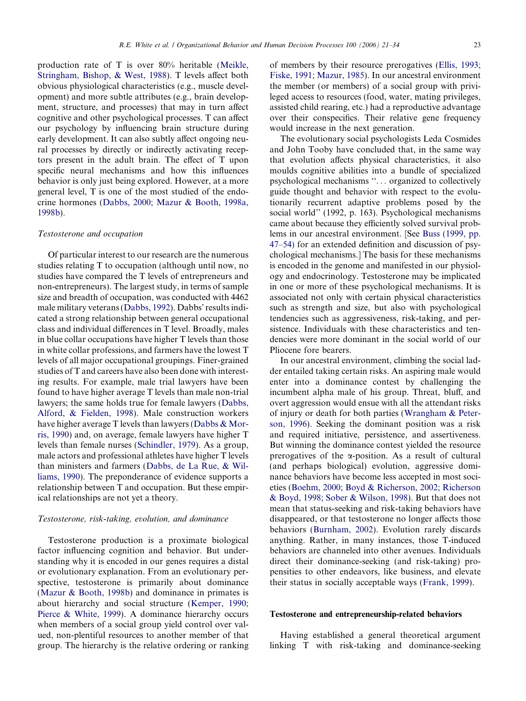production rate of T is over 80% heritable [\(Meikle,](#page-12-0) [Stringham, Bishop, & West, 1988\)](#page-12-0). T levels affect both obvious physiological characteristics (e.g., muscle development) and more subtle attributes (e.g., brain development, structure, and processes) that may in turn affect cognitive and other psychological processes. T can affect our psychology by influencing brain structure during early development. It can also subtly affect ongoing neural processes by directly or indirectly activating receptors present in the adult brain. The effect of T upon specific neural mechanisms and how this influences behavior is only just being explored. However, at a more general level, T is one of the most studied of the endocrine hormones [\(Dabbs, 2000; Mazur & Booth, 1998a,](#page-11-0) [1998b\)](#page-11-0).

## Testosterone and occupation

Of particular interest to our research are the numerous studies relating T to occupation (although until now, no studies have compared the T levels of entrepreneurs and non-entrepreneurs). The largest study, in terms of sample size and breadth of occupation, was conducted with 4462 male military veterans [\(Dabbs, 1992\)](#page-11-0). Dabbs' results indicated a strong relationship between general occupational class and individual differences in T level. Broadly, males in blue collar occupations have higher T levels than those in white collar professions, and farmers have the lowest T levels of all major occupational groupings. Finer-grained studies of T and careers have also been done with interesting results. For example, male trial lawyers have been found to have higher average T levels than male non-trial lawyers; the same holds true for female lawyers ([Dabbs,](#page-11-0) [Alford, & Fielden, 1998](#page-11-0)). Male construction workers have higher average T levels than lawyers [\(Dabbs & Mor](#page-12-0)[ris, 1990](#page-12-0)) and, on average, female lawyers have higher T levels than female nurses ([Schindler, 1979](#page-13-0)). As a group, male actors and professional athletes have higher T levels than ministers and farmers ([Dabbs, de La Rue, & Wil](#page-11-0)[liams, 1990\)](#page-11-0). The preponderance of evidence supports a relationship between T and occupation. But these empirical relationships are not yet a theory.

## Testosterone, risk-taking, evolution, and dominance

Testosterone production is a proximate biological factor influencing cognition and behavior. But understanding why it is encoded in our genes requires a distal or evolutionary explanation. From an evolutionary perspective, testosterone is primarily about dominance ([Mazur & Booth, 1998b](#page-12-0)) and dominance in primates is about hierarchy and social structure [\(Kemper, 1990;](#page-12-0) [Pierce & White, 1999\)](#page-12-0). A dominance hierarchy occurs when members of a social group yield control over valued, non-plentiful resources to another member of that group. The hierarchy is the relative ordering or ranking of members by their resource prerogatives ([Ellis, 1993;](#page-12-0) [Fiske, 1991; Mazur, 1985\)](#page-12-0). In our ancestral environment the member (or members) of a social group with privileged access to resources (food, water, mating privileges, assisted child rearing, etc.) had a reproductive advantage over their conspecifics. Their relative gene frequency would increase in the next generation.

The evolutionary social psychologists Leda Cosmides and John Tooby have concluded that, in the same way that evolution affects physical characteristics, it also moulds cognitive abilities into a bundle of specialized psychological mechanisms ''... organized to collectively guide thought and behavior with respect to the evolutionarily recurrent adaptive problems posed by the social world'' (1992, p. 163). Psychological mechanisms came about because they efficiently solved survival problems in our ancestral environment. [See [Buss \(1999, pp.](#page-11-0) [47–54\)](#page-11-0) for an extended definition and discussion of psychological mechanisms.] The basis for these mechanisms is encoded in the genome and manifested in our physiology and endocrinology. Testosterone may be implicated in one or more of these psychological mechanisms. It is associated not only with certain physical characteristics such as strength and size, but also with psychological tendencies such as aggressiveness, risk-taking, and persistence. Individuals with these characteristics and tendencies were more dominant in the social world of our Pliocene fore bearers.

In our ancestral environment, climbing the social ladder entailed taking certain risks. An aspiring male would enter into a dominance contest by challenging the incumbent alpha male of his group. Threat, bluff, and overt aggression would ensue with all the attendant risks of injury or death for both parties (Wrangham & Peterson, 1996). Seeking the dominant position was a risk and required initiative, persistence, and assertiveness. But winning the dominance contest yielded the resource prerogatives of the  $\alpha$ -position. As a result of cultural (and perhaps biological) evolution, aggressive dominance behaviors have become less accepted in most societies [\(Boehm, 2000; Boyd & Richerson, 2002; Richerson](#page-11-0) [& Boyd, 1998; Sober & Wilson, 1998](#page-11-0)). But that does not mean that status-seeking and risk-taking behaviors have disappeared, or that testosterone no longer affects those behaviors ([Burnham, 2002\)](#page-11-0). Evolution rarely discards anything. Rather, in many instances, those T-induced behaviors are channeled into other avenues. Individuals direct their dominance-seeking (and risk-taking) propensities to other endeavors, like business, and elevate their status in socially acceptable ways ([Frank, 1999](#page-12-0)).

#### Testosterone and entrepreneurship-related behaviors

Having established a general theoretical argument linking T with risk-taking and dominance-seeking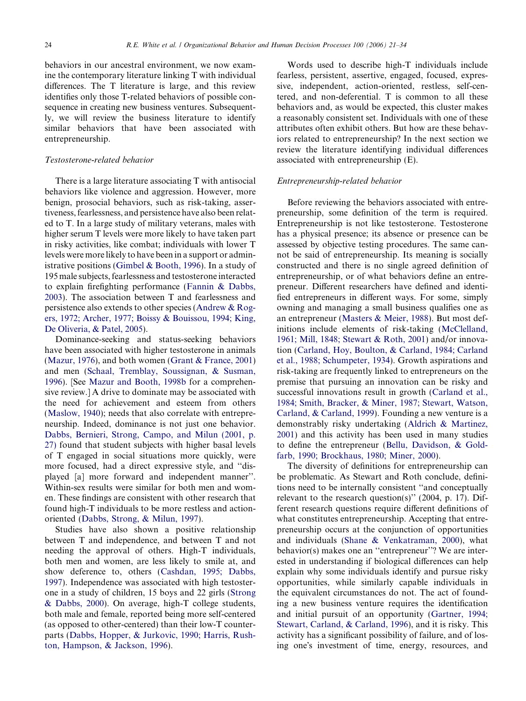behaviors in our ancestral environment, we now examine the contemporary literature linking T with individual differences. The T literature is large, and this review identifies only those T-related behaviors of possible consequence in creating new business ventures. Subsequently, we will review the business literature to identify similar behaviors that have been associated with entrepreneurship.

# Testosterone-related behavior

There is a large literature associating T with antisocial behaviors like violence and aggression. However, more benign, prosocial behaviors, such as risk-taking, assertiveness, fearlessness, and persistence have also been related to T. In a large study of military veterans, males with higher serum T levels were more likely to have taken part in risky activities, like combat; individuals with lower T levels were more likely to have been in a support or administrative positions [\(Gimbel & Booth, 1996](#page-12-0)). In a study of 195 male subjects, fearlessness and testosterone interacted to explain firefighting performance [\(Fannin & Dabbs,](#page-12-0) [2003\)](#page-12-0). The association between T and fearlessness and persistence also extends to other species [\(Andrew & Rog](#page-11-0)[ers, 1972; Archer, 1977; Boissy & Bouissou, 1994; King,](#page-11-0) [De Oliveria, & Patel, 2005\)](#page-11-0).

Dominance-seeking and status-seeking behaviors have been associated with higher testosterone in animals ([Mazur, 1976\)](#page-12-0), and both women [\(Grant & France, 2001](#page-12-0)) and men ([Schaal, Tremblay, Soussignan, & Susman,](#page-12-0) [1996\)](#page-12-0). [See [Mazur and Booth, 1998b](#page-12-0) for a comprehensive review.] A drive to dominate may be associated with the need for achievement and esteem from others ([Maslow, 1940\)](#page-12-0); needs that also correlate with entrepreneurship. Indeed, dominance is not just one behavior. [Dabbs, Bernieri, Strong, Campo, and Milun \(2001, p.](#page-11-0) [27\)](#page-11-0) found that student subjects with higher basal levels of T engaged in social situations more quickly, were more focused, had a direct expressive style, and ''displayed [a] more forward and independent manner''. Within-sex results were similar for both men and women. These findings are consistent with other research that found high-T individuals to be more restless and actionoriented [\(Dabbs, Strong, & Milun, 1997\)](#page-11-0).

Studies have also shown a positive relationship between T and independence, and between T and not needing the approval of others. High-T individuals, both men and women, are less likely to smile at, and show deference to, others [\(Cashdan, 1995; Dabbs,](#page-11-0) [1997\)](#page-11-0). Independence was associated with high testosterone in a study of children, 15 boys and 22 girls (Strong & Dabbs, 2000). On average, high-T college students, both male and female, reported being more self-centered (as opposed to other-centered) than their low-T counterparts ([Dabbs, Hopper, & Jurkovic, 1990; Harris, Rush](#page-11-0)[ton, Hampson, & Jackson, 1996\)](#page-11-0).

Words used to describe high-T individuals include fearless, persistent, assertive, engaged, focused, expressive, independent, action-oriented, restless, self-centered, and non-deferential. T is common to all these behaviors and, as would be expected, this cluster makes a reasonably consistent set. Individuals with one of these attributes often exhibit others. But how are these behaviors related to entrepreneurship? In the next section we review the literature identifying individual differences associated with entrepreneurship (E).

#### Entrepreneurship-related behavior

Before reviewing the behaviors associated with entrepreneurship, some definition of the term is required. Entrepreneurship is not like testosterone. Testosterone has a physical presence; its absence or presence can be assessed by objective testing procedures. The same cannot be said of entrepreneurship. Its meaning is socially constructed and there is no single agreed definition of entrepreneurship, or of what behaviors define an entrepreneur. Different researchers have defined and identified entrepreneurs in different ways. For some, simply owning and managing a small business qualifies one as an entrepreneur [\(Masters & Meier, 1988](#page-12-0)). But most definitions include elements of risk-taking [\(McClelland,](#page-12-0) [1961; Mill, 1848; Stewart & Roth, 2001](#page-12-0)) and/or innovation ([Carland, Hoy, Boulton, & Carland, 1984; Carland](#page-11-0) [et al., 1988; Schumpeter, 1934\)](#page-11-0). Growth aspirations and risk-taking are frequently linked to entrepreneurs on the premise that pursuing an innovation can be risky and successful innovations result in growth ([Carland et al.,](#page-11-0) [1984; Smith, Bracker, & Miner, 1987; Stewart, Watson,](#page-11-0) [Carland, & Carland, 1999\)](#page-11-0). Founding a new venture is a demonstrably risky undertaking ([Aldrich & Martinez,](#page-11-0) [2001\)](#page-11-0) and this activity has been used in many studies to define the entrepreneur [\(Bellu, Davidson, & Gold](#page-11-0)[farb, 1990; Brockhaus, 1980; Miner, 2000](#page-11-0)).

The diversity of definitions for entrepreneurship can be problematic. As Stewart and Roth conclude, definitions need to be internally consistent ''and conceptually relevant to the research question(s)"  $(2004, p. 17)$ . Different research questions require different definitions of what constitutes entrepreneurship. Accepting that entrepreneurship occurs at the conjunction of opportunities and individuals [\(Shane & Venkatraman, 2000](#page-13-0)), what behavior(s) makes one an ''entrepreneur''? We are interested in understanding if biological differences can help explain why some individuals identify and pursue risky opportunities, while similarly capable individuals in the equivalent circumstances do not. The act of founding a new business venture requires the identification and initial pursuit of an opportunity [\(Gartner, 1994;](#page-12-0) [Stewart, Carland, & Carland, 1996](#page-12-0)), and it is risky. This activity has a significant possibility of failure, and of losing one's investment of time, energy, resources, and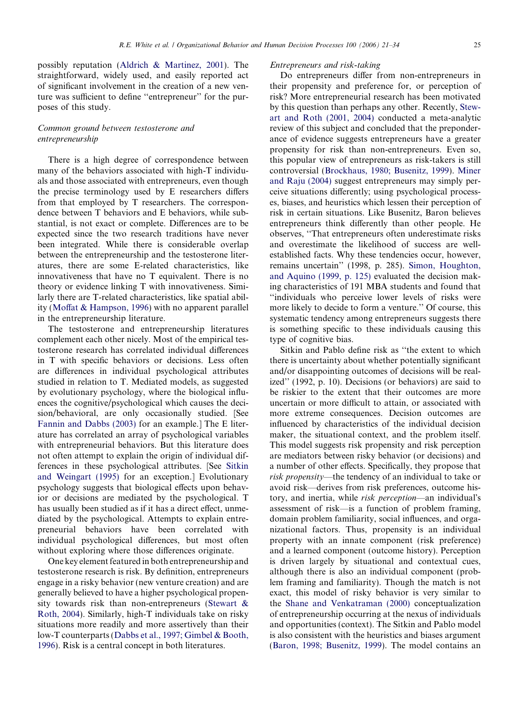possibly reputation ([Aldrich & Martinez, 2001\)](#page-11-0). The straightforward, widely used, and easily reported act of significant involvement in the creation of a new venture was sufficient to define ''entrepreneur'' for the purposes of this study.

# Common ground between testosterone and entrepreneurship

There is a high degree of correspondence between many of the behaviors associated with high-T individuals and those associated with entrepreneurs, even though the precise terminology used by E researchers differs from that employed by T researchers. The correspondence between T behaviors and E behaviors, while substantial, is not exact or complete. Differences are to be expected since the two research traditions have never been integrated. While there is considerable overlap between the entrepreneurship and the testosterone literatures, there are some E-related characteristics, like innovativeness that have no T equivalent. There is no theory or evidence linking T with innovativeness. Similarly there are T-related characteristics, like spatial ability [\(Moffat & Hampson, 1996](#page-12-0)) with no apparent parallel in the entrepreneurship literature.

The testosterone and entrepreneurship literatures complement each other nicely. Most of the empirical testosterone research has correlated individual differences in T with specific behaviors or decisions. Less often are differences in individual psychological attributes studied in relation to T. Mediated models, as suggested by evolutionary psychology, where the biological influences the cognitive/psychological which causes the decision/behavioral, are only occasionally studied. [See [Fannin and Dabbs \(2003\)](#page-12-0) for an example.] The E literature has correlated an array of psychological variables with entrepreneurial behaviors. But this literature does not often attempt to explain the origin of individual differences in these psychological attributes. [See [Sitkin](#page-13-0) [and Weingart \(1995\)](#page-13-0) for an exception.] Evolutionary psychology suggests that biological effects upon behavior or decisions are mediated by the psychological. T has usually been studied as if it has a direct effect, unmediated by the psychological. Attempts to explain entrepreneurial behaviors have been correlated with individual psychological differences, but most often without exploring where those differences originate.

One key element featured in both entrepreneurship and testosterone research is risk. By definition, entrepreneurs engage in a risky behavior (new venture creation) and are generally believed to have a higher psychological propensity towards risk than non-entrepreneurs (Stewart & Roth, 2004). Similarly, high-T individuals take on risky situations more readily and more assertively than their low-T counterparts [\(Dabbs et al., 1997; Gimbel & Booth,](#page-12-0) [1996](#page-12-0)). Risk is a central concept in both literatures.

# Entrepreneurs and risk-taking

Do entrepreneurs differ from non-entrepreneurs in their propensity and preference for, or perception of risk? More entrepreneurial research has been motivated by this question than perhaps any other. Recently, [Stew](#page-13-0)[art and Roth \(2001, 2004\)](#page-13-0) conducted a meta-analytic review of this subject and concluded that the preponderance of evidence suggests entrepreneurs have a greater propensity for risk than non-entrepreneurs. Even so, this popular view of entrepreneurs as risk-takers is still controversial ([Brockhaus, 1980; Busenitz, 1999\)](#page-11-0). [Miner](#page-12-0) [and Raju \(2004\)](#page-12-0) suggest entrepreneurs may simply perceive situations differently; using psychological processes, biases, and heuristics which lessen their perception of risk in certain situations. Like Busenitz, Baron believes entrepreneurs think differently than other people. He observes, ''That entrepreneurs often underestimate risks and overestimate the likelihood of success are wellestablished facts. Why these tendencies occur, however, remains uncertain'' (1998, p. 285). [Simon, Houghton,](#page-13-0) [and Aquino \(1999, p. 125\)](#page-13-0) evaluated the decision making characteristics of 191 MBA students and found that ''individuals who perceive lower levels of risks were more likely to decide to form a venture.'' Of course, this systematic tendency among entrepreneurs suggests there is something specific to these individuals causing this type of cognitive bias.

Sitkin and Pablo define risk as ''the extent to which there is uncertainty about whether potentially significant and/or disappointing outcomes of decisions will be realized'' (1992, p. 10). Decisions (or behaviors) are said to be riskier to the extent that their outcomes are more uncertain or more difficult to attain, or associated with more extreme consequences. Decision outcomes are influenced by characteristics of the individual decision maker, the situational context, and the problem itself. This model suggests risk propensity and risk perception are mediators between risky behavior (or decisions) and a number of other effects. Specifically, they propose that risk propensity—the tendency of an individual to take or avoid risk—derives from risk preferences, outcome history, and inertia, while risk perception—an individual's assessment of risk—is a function of problem framing, domain problem familiarity, social influences, and organizational factors. Thus, propensity is an individual property with an innate component (risk preference) and a learned component (outcome history). Perception is driven largely by situational and contextual cues, although there is also an individual component (problem framing and familiarity). Though the match is not exact, this model of risky behavior is very similar to the [Shane and Venkatraman \(2000\)](#page-13-0) conceptualization of entrepreneurship occurring at the nexus of individuals and opportunities (context). The Sitkin and Pablo model is also consistent with the heuristics and biases argument ([Baron, 1998; Busenitz, 1999](#page-11-0)). The model contains an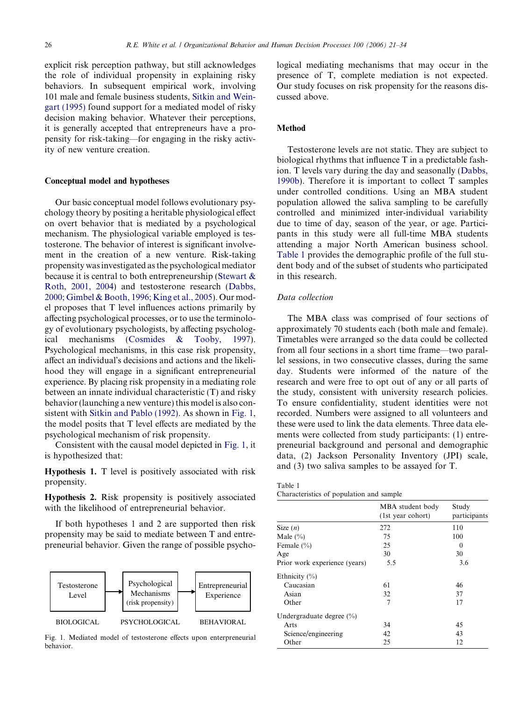explicit risk perception pathway, but still acknowledges the role of individual propensity in explaining risky behaviors. In subsequent empirical work, involving 101 male and female business students, [Sitkin and Wein](#page-13-0)[gart \(1995\)](#page-13-0) found support for a mediated model of risky decision making behavior. Whatever their perceptions, it is generally accepted that entrepreneurs have a propensity for risk-taking—for engaging in the risky activity of new venture creation.

#### Conceptual model and hypotheses

Our basic conceptual model follows evolutionary psychology theory by positing a heritable physiological effect on overt behavior that is mediated by a psychological mechanism. The physiological variable employed is testosterone. The behavior of interest is significant involvement in the creation of a new venture. Risk-taking propensity was investigated as the psychological mediator because it is central to both entrepreneurship (Stewart & Roth, 2001, 2004) and testosterone research ([Dabbs,](#page-11-0) [2000; Gimbel & Booth, 1996; King et al., 2005\)](#page-11-0). Our model proposes that T level influences actions primarily by affecting psychological processes, or to use the terminology of evolutionary psychologists, by affecting psychological mechanisms ([Cosmides & Tooby, 1997\)](#page-11-0). Psychological mechanisms, in this case risk propensity, affect an individual's decisions and actions and the likelihood they will engage in a significant entrepreneurial experience. By placing risk propensity in a mediating role between an innate individual characteristic (T) and risky behavior (launching a new venture) this model is also consistent with [Sitkin and Pablo \(1992\).](#page-13-0) As shown in Fig. 1, the model posits that T level effects are mediated by the psychological mechanism of risk propensity.

Consistent with the causal model depicted in Fig. 1, it is hypothesized that:

Hypothesis 1. T level is positively associated with risk propensity.

Hypothesis 2. Risk propensity is positively associated with the likelihood of entrepreneurial behavior.

If both hypotheses 1 and 2 are supported then risk propensity may be said to mediate between T and entrepreneurial behavior. Given the range of possible psycho-



Fig. 1. Mediated model of testosterone effects upon enterpreneurial behavior.

logical mediating mechanisms that may occur in the presence of T, complete mediation is not expected. Our study focuses on risk propensity for the reasons discussed above.

## Method

Testosterone levels are not static. They are subject to biological rhythms that influence T in a predictable fashion. T levels vary during the day and seasonally ([Dabbs,](#page-11-0) [1990b](#page-11-0)). Therefore it is important to collect T samples under controlled conditions. Using an MBA student population allowed the saliva sampling to be carefully controlled and minimized inter-individual variability due to time of day, season of the year, or age. Participants in this study were all full-time MBA students attending a major North American business school. Table 1 provides the demographic profile of the full student body and of the subset of students who participated in this research.

# Data collection

The MBA class was comprised of four sections of approximately 70 students each (both male and female). Timetables were arranged so the data could be collected from all four sections in a short time frame—two parallel sessions, in two consecutive classes, during the same day. Students were informed of the nature of the research and were free to opt out of any or all parts of the study, consistent with university research policies. To ensure confidentiality, student identities were not recorded. Numbers were assigned to all volunteers and these were used to link the data elements. Three data elements were collected from study participants: (1) entrepreneurial background and personal and demographic data, (2) Jackson Personality Inventory (JPI) scale, and (3) two saliva samples to be assayed for T.

| Table 1                                  |  |  |  |  |
|------------------------------------------|--|--|--|--|
| Characteristics of population and sample |  |  |  |  |

|                               | MBA student body<br>(1st year cohort) | Study<br>participants |
|-------------------------------|---------------------------------------|-----------------------|
| Size $(n)$                    | 272                                   | 110                   |
| Male $(\% )$                  | 75                                    | 100                   |
| Female $(\% )$                | 25                                    | $\theta$              |
| Age                           | 30                                    | 30                    |
| Prior work experience (years) | 5.5                                   | 3.6                   |
| Ethnicity $(\% )$             |                                       |                       |
| Caucasian                     | 61                                    | 46                    |
| Asian                         | 32                                    | 37                    |
| Other                         | 7                                     | 17                    |
| Undergraduate degree $(\% )$  |                                       |                       |
| Arts                          | 34                                    | 45                    |
| Science/engineering           | 42                                    | 43                    |
| Other                         | 25                                    | 12                    |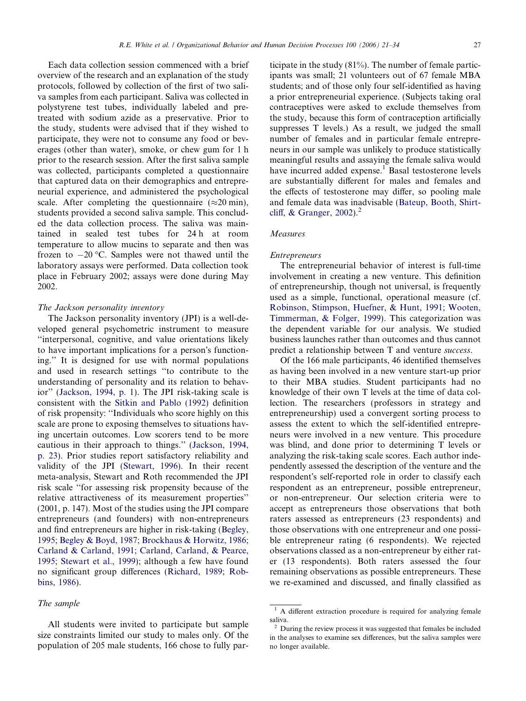Each data collection session commenced with a brief overview of the research and an explanation of the study protocols, followed by collection of the first of two saliva samples from each participant. Saliva was collected in polystyrene test tubes, individually labeled and pretreated with sodium azide as a preservative. Prior to the study, students were advised that if they wished to participate, they were not to consume any food or beverages (other than water), smoke, or chew gum for 1 h prior to the research session. After the first saliva sample was collected, participants completed a questionnaire that captured data on their demographics and entrepreneurial experience, and administered the psychological scale. After completing the questionnaire  $(\approx 20 \text{ min})$ , students provided a second saliva sample. This concluded the data collection process. The saliva was maintained in sealed test tubes for 24 h at room temperature to allow mucins to separate and then was frozen to  $-20$  °C. Samples were not thawed until the laboratory assays were performed. Data collection took place in February 2002; assays were done during May 2002.

# The Jackson personality inventory

The Jackson personality inventory (JPI) is a well-developed general psychometric instrument to measure ''interpersonal, cognitive, and value orientations likely to have important implications for a person's functioning.'' It is designed for use with normal populations and used in research settings ''to contribute to the understanding of personality and its relation to behavior'' [\(Jackson, 1994, p. 1\)](#page-12-0). The JPI risk-taking scale is consistent with the [Sitkin and Pablo \(1992\)](#page-13-0) definition of risk propensity: ''Individuals who score highly on this scale are prone to exposing themselves to situations having uncertain outcomes. Low scorers tend to be more cautious in their approach to things.'' ([Jackson, 1994,](#page-12-0) [p. 23](#page-12-0)). Prior studies report satisfactory reliability and validity of the JPI (Stewart, 1996). In their recent meta-analysis, Stewart and Roth recommended the JPI risk scale ''for assessing risk propensity because of the relative attractiveness of its measurement properties'' (2001, p. 147). Most of the studies using the JPI compare entrepreneurs (and founders) with non-entrepreneurs and find entrepreneurs are higher in risk-taking ([Begley,](#page-11-0) [1995; Begley & Boyd, 1987; Brockhaus & Horwitz, 1986;](#page-11-0) [Carland & Carland, 1991; Carland, Carland, & Pearce,](#page-11-0) [1995; Stewart et al., 1999\)](#page-11-0); although a few have found no significant group differences ([Richard, 1989; Rob](#page-13-0)[bins, 1986](#page-13-0)).

# The sample

All students were invited to participate but sample size constraints limited our study to males only. Of the population of 205 male students, 166 chose to fully participate in the study (81%). The number of female participants was small; 21 volunteers out of 67 female MBA students; and of those only four self-identified as having a prior entrepreneurial experience. (Subjects taking oral contraceptives were asked to exclude themselves from the study, because this form of contraception artificially suppresses T levels.) As a result, we judged the small number of females and in particular female entrepreneurs in our sample was unlikely to produce statistically meaningful results and assaying the female saliva would have incurred added expense.<sup>1</sup> Basal testosterone levels are substantially different for males and females and the effects of testosterone may differ, so pooling male and female data was inadvisable ([Bateup, Booth, Shirt](#page-11-0)cliff, & Granger,  $2002$ ).<sup>2</sup>

# Measures

## Entrepreneurs

The entrepreneurial behavior of interest is full-time involvement in creating a new venture. This definition of entrepreneurship, though not universal, is frequently used as a simple, functional, operational measure (cf. [Robinson, Stimpson, Huefner, & Hunt, 1991; Wooten,](#page-13-0) [Timmerman, & Folger, 1999](#page-13-0)). This categorization was the dependent variable for our analysis. We studied business launches rather than outcomes and thus cannot predict a relationship between T and venture success.

Of the 166 male participants, 46 identified themselves as having been involved in a new venture start-up prior to their MBA studies. Student participants had no knowledge of their own T levels at the time of data collection. The researchers (professors in strategy and entrepreneurship) used a convergent sorting process to assess the extent to which the self-identified entrepreneurs were involved in a new venture. This procedure was blind, and done prior to determining T levels or analyzing the risk-taking scale scores. Each author independently assessed the description of the venture and the respondent's self-reported role in order to classify each respondent as an entrepreneur, possible entrepreneur, or non-entrepreneur. Our selection criteria were to accept as entrepreneurs those observations that both raters assessed as entrepreneurs (23 respondents) and those observations with one entrepreneur and one possible entrepreneur rating (6 respondents). We rejected observations classed as a non-entrepreneur by either rater (13 respondents). Both raters assessed the four remaining observations as possible entrepreneurs. These we re-examined and discussed, and finally classified as

 $\overline{1}$  A different extraction procedure is required for analyzing female saliva.

<sup>&</sup>lt;sup>2</sup> During the review process it was suggested that females be included in the analyses to examine sex differences, but the saliva samples were no longer available.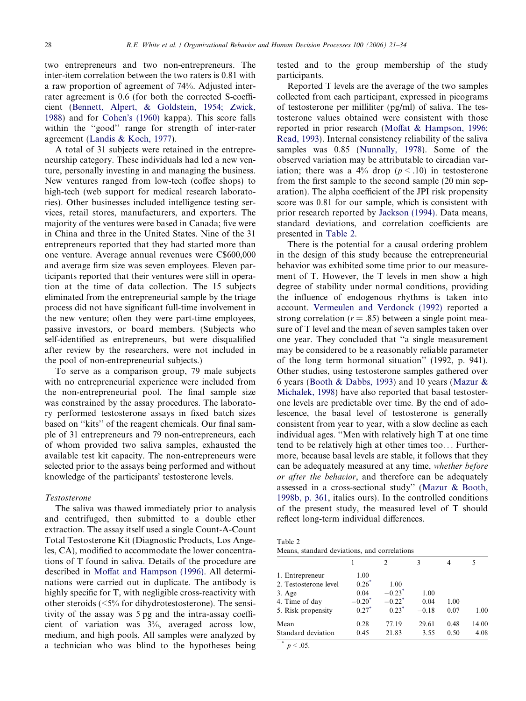two entrepreneurs and two non-entrepreneurs. The inter-item correlation between the two raters is 0.81 with a raw proportion of agreement of 74%. Adjusted interrater agreement is 0.6 (for both the corrected S-coefficient ([Bennett, Alpert, & Goldstein, 1954; Zwick,](#page-11-0) [1988\)](#page-11-0) and for Cohen'[s \(1960\)](#page-11-0) kappa). This score falls within the ''good'' range for strength of inter-rater agreement [\(Landis & Koch, 1977](#page-12-0)).

A total of 31 subjects were retained in the entrepreneurship category. These individuals had led a new venture, personally investing in and managing the business. New ventures ranged from low-tech (coffee shops) to high-tech (web support for medical research laboratories). Other businesses included intelligence testing services, retail stores, manufacturers, and exporters. The majority of the ventures were based in Canada; five were in China and three in the United States. Nine of the 31 entrepreneurs reported that they had started more than one venture. Average annual revenues were C\$600,000 and average firm size was seven employees. Eleven participants reported that their ventures were still in operation at the time of data collection. The 15 subjects eliminated from the entrepreneurial sample by the triage process did not have significant full-time involvement in the new venture; often they were part-time employees, passive investors, or board members. (Subjects who self-identified as entrepreneurs, but were disqualified after review by the researchers, were not included in the pool of non-entrepreneurial subjects.)

To serve as a comparison group, 79 male subjects with no entrepreneurial experience were included from the non-entrepreneurial pool. The final sample size was constrained by the assay procedures. The laboratory performed testosterone assays in fixed batch sizes based on ''kits'' of the reagent chemicals. Our final sample of 31 entrepreneurs and 79 non-entrepreneurs, each of whom provided two saliva samples, exhausted the available test kit capacity. The non-entrepreneurs were selected prior to the assays being performed and without knowledge of the participants' testosterone levels.

# Testosterone

The saliva was thawed immediately prior to analysis and centrifuged, then submitted to a double ether extraction. The assay itself used a single Count-A-Count Total Testosterone Kit (Diagnostic Products, Los Angeles, CA), modified to accommodate the lower concentrations of T found in saliva. Details of the procedure are described in [Moffat and Hampson \(1996\).](#page-12-0) All determinations were carried out in duplicate. The antibody is highly specific for T, with negligible cross-reactivity with other steroids (<5% for dihydrotestosterone). The sensitivity of the assay was 5 pg and the intra-assay coefficient of variation was 3%, averaged across low, medium, and high pools. All samples were analyzed by a technician who was blind to the hypotheses being tested and to the group membership of the study participants.

Reported T levels are the average of the two samples collected from each participant, expressed in picograms of testosterone per milliliter (pg/ml) of saliva. The testosterone values obtained were consistent with those reported in prior research ([Moffat & Hampson, 1996;](#page-12-0) [Read, 1993\)](#page-12-0). Internal consistency reliability of the saliva samples was 0.85 [\(Nunnally, 1978\)](#page-13-0). Some of the observed variation may be attributable to circadian variation; there was a  $4\%$  drop ( $p < .10$ ) in testosterone from the first sample to the second sample (20 min separation). The alpha coefficient of the JPI risk propensity score was 0.81 for our sample, which is consistent with prior research reported by [Jackson \(1994\).](#page-12-0) Data means, standard deviations, and correlation coefficients are presented in Table 2.

There is the potential for a causal ordering problem in the design of this study because the entrepreneurial behavior was exhibited some time prior to our measurement of T. However, the T levels in men show a high degree of stability under normal conditions, providing the influence of endogenous rhythms is taken into account. Vermeulen and Verdonck (1992) reported a strong correlation ( $r = .85$ ) between a single point measure of T level and the mean of seven samples taken over one year. They concluded that ''a single measurement may be considered to be a reasonably reliable parameter of the long term hormonal situation'' (1992, p. 941). Other studies, using testosterone samples gathered over 6 years ([Booth & Dabbs, 1993](#page-11-0)) and 10 years [\(Mazur &](#page-12-0) [Michalek, 1998](#page-12-0)) have also reported that basal testosterone levels are predictable over time. By the end of adolescence, the basal level of testosterone is generally consistent from year to year, with a slow decline as each individual ages. ''Men with relatively high T at one time tend to be relatively high at other times too... Furthermore, because basal levels are stable, it follows that they can be adequately measured at any time, whether before or after the behavior, and therefore can be adequately assessed in a cross-sectional study'' [\(Mazur & Booth,](#page-12-0) [1998b, p. 361](#page-12-0), italics ours). In the controlled conditions of the present study, the measured level of T should reflect long-term individual differences.

| Table 2 |  |                                              |
|---------|--|----------------------------------------------|
|         |  | Means, standard deviations, and correlations |

| 1. Entrepreneur       | 1.00            |                      |         |      |       |
|-----------------------|-----------------|----------------------|---------|------|-------|
| 2. Testosterone level | $0.26*$         | 1.00                 |         |      |       |
| $3. \text{Age}$       | 0.04            | $-0.23$ <sup>*</sup> | 1.00    |      |       |
| 4. Time of day        | $-0.20^{\circ}$ | $-0.22$ <sup>*</sup> | 0.04    | 1.00 |       |
| 5. Risk propensity    | $0.27*$         | $0.23*$              | $-0.18$ | 0.07 | 1.00  |
| Mean                  | 0.28            | 77.19                | 29.61   | 0.48 | 14.00 |
| Standard deviation    | 0.45            | 21.83                | 3.55    | 0.50 | 4.08  |

 $p < .05$ .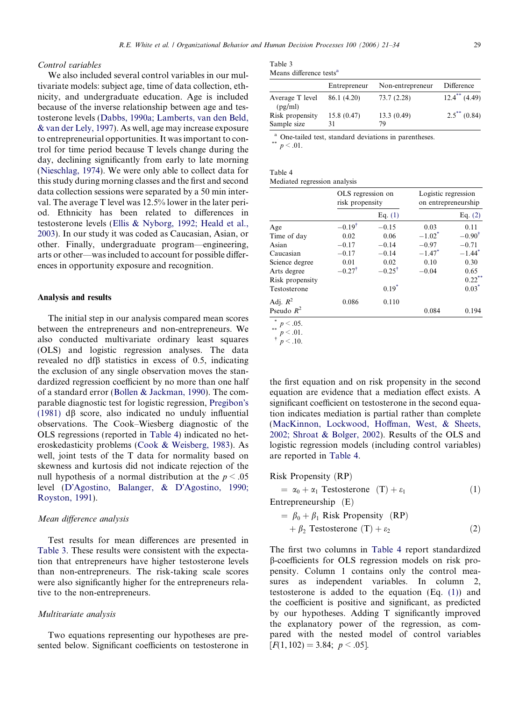# <span id="page-8-0"></span>Control variables

We also included several control variables in our multivariate models: subject age, time of data collection, ethnicity, and undergraduate education. Age is included because of the inverse relationship between age and testosterone levels ([Dabbs, 1990a; Lamberts, van den Beld,](#page-11-0) [& van der Lely, 1997](#page-11-0)). As well, age may increase exposure to entrepreneurial opportunities. It was important to control for time period because T levels change during the day, declining significantly from early to late morning ([Nieschlag, 1974](#page-12-0)). We were only able to collect data for this study during morning classes and the first and second data collection sessions were separated by a 50 min interval. The average T level was 12.5% lower in the later period. Ethnicity has been related to differences in testosterone levels ([Ellis & Nyborg, 1992; Heald et al.,](#page-12-0) [2003](#page-12-0)). In our study it was coded as Caucasian, Asian, or other. Finally, undergraduate program—engineering, arts or other—was included to account for possible differences in opportunity exposure and recognition.

# Analysis and results

The initial step in our analysis compared mean scores between the entrepreneurs and non-entrepreneurs. We also conducted multivariate ordinary least squares (OLS) and logistic regression analyses. The data revealed no dfb statistics in excess of 0.5, indicating the exclusion of any single observation moves the standardized regression coefficient by no more than one half of a standard error ([Bollen & Jackman, 1990](#page-11-0)). The com-parable diagnostic test for logistic regression, [Pregibon](#page-13-0)'s [\(1981\)](#page-13-0)  $d\beta$  score, also indicated no unduly influential observations. The Cook–Wiesberg diagnostic of the OLS regressions (reported in Table 4) indicated no heteroskedasticity problems ([Cook & Weisberg, 1983](#page-11-0)). As well, joint tests of the T data for normality based on skewness and kurtosis did not indicate rejection of the null hypothesis of a normal distribution at the  $p < .05$ level (D'[Agostino, Balanger, & D](#page-12-0)'Agostino, 1990; [Royston, 1991\)](#page-12-0).

# Mean difference analysis

Test results for mean differences are presented in Table 3. These results were consistent with the expectation that entrepreneurs have higher testosterone levels than non-entrepreneurs. The risk-taking scale scores were also significantly higher for the entrepreneurs relative to the non-entrepreneurs.

#### Multivariate analysis

Two equations representing our hypotheses are presented below. Significant coefficients on testosterone in

| Table 3 |                                     |  |
|---------|-------------------------------------|--|
|         | Means difference tests <sup>a</sup> |  |

|                            | Entrepreneur | Non-entrepreneur | Difference                    |
|----------------------------|--------------|------------------|-------------------------------|
| Average T level<br>(pg/ml) | 86.1 (4.20)  | 73.7 (2.28)      | $12.4$ <sup>**</sup> $(4.49)$ |
| Risk propensity            | 15.8(0.47)   | 13.3(0.49)       | $2.5$ ** (0.84)               |
| Sample size                | 31           | 79               |                               |

<sup>a</sup> One-tailed test, standard deviations in parentheses.

 $p < .01$ .

| Table 4 |                              |  |
|---------|------------------------------|--|
|         | Mediated regression analysis |  |

|                                | OLS regression on<br>risk propensity |                   | Logistic regression<br>on entrepreneurship |                      |
|--------------------------------|--------------------------------------|-------------------|--------------------------------------------|----------------------|
|                                |                                      | Eq. $(1)$         |                                            | Eq. $(2)$            |
| Age                            | $-0.19^{\dagger}$                    | $-0.15$           | 0.03                                       | 0.11                 |
| Time of day                    | 0.02                                 | 0.06              | $-1.02^*$                                  | $-0.90^{\dagger}$    |
| Asian                          | $-0.17$                              | $-0.14$           | $-0.97$                                    | $-0.71$              |
| Caucasian                      | $-0.17$                              | $-0.14$           | $-1.47$ <sup>*</sup>                       | $-1.44$ <sup>*</sup> |
| Science degree                 | 0.01                                 | 0.02              | 0.10                                       | 0.30                 |
| Arts degree                    | $-0.27^{\dagger}$                    | $-0.25^{\dagger}$ | $-0.04$                                    | 0.65                 |
| Risk propensity                |                                      |                   |                                            | $0.22$ **            |
| Testosterone                   |                                      | $0.19*$           |                                            | $0.03*$              |
| Adj. $R^2$                     | 0.086                                | 0.110             |                                            |                      |
| Pseudo $R^2$                   |                                      |                   | 0.084                                      | 0.194                |
| $\ast$<br>$\sim$ $\sim$ $\sim$ |                                      |                   |                                            |                      |

 $p < .05$ .

\*\*  $p < .01$ .  $p < .10$ .

the first equation and on risk propensity in the second equation are evidence that a mediation effect exists. A significant coefficient on testosterone in the second equation indicates mediation is partial rather than complete ([MacKinnon, Lockwood, Hoffman, West, & Sheets,](#page-12-0) [2002; Shroat & Bolger, 2002](#page-12-0)). Results of the OLS and logistic regression models (including control variables) are reported in Table 4.

Risk Propensity ðRPÞ

 $= \alpha_0 + \alpha_1$  Testosterone  $(T) + \varepsilon_1$  (1)  $E$ ntrepreneurship  $(F)$ 

$$
P = P_{\text{in}}
$$

$$
= \beta_0 + \beta_1 \text{ Risk Property (RP)}+ \beta_2 \text{ Testosterone (T)} + \varepsilon_2
$$
 (2)

The first two columns in Table 4 report standardized b-coefficients for OLS regression models on risk propensity. Column 1 contains only the control measures as independent variables. In column 2, testosterone is added to the equation  $(Eq. (1))$  and the coefficient is positive and significant, as predicted by our hypotheses. Adding T significantly improved the explanatory power of the regression, as compared with the nested model of control variables  $[F(1, 102) = 3.84; p < .05].$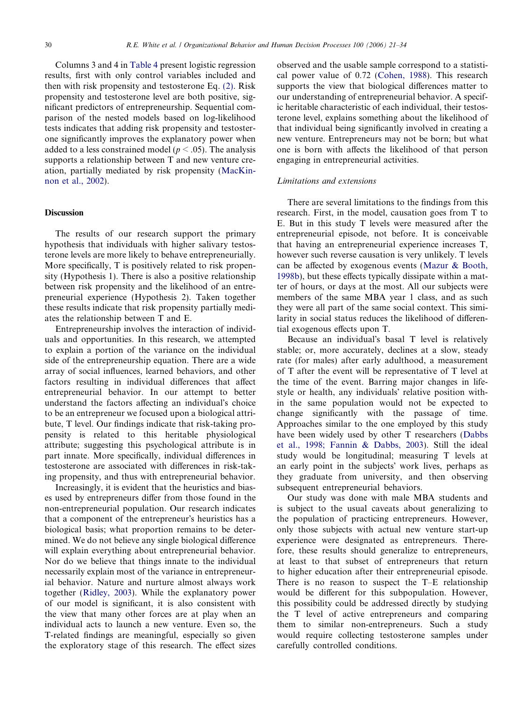Columns 3 and 4 in [Table 4](#page-8-0) present logistic regression results, first with only control variables included and then with risk propensity and testosterone Eq. [\(2\)](#page-8-0). Risk propensity and testosterone level are both positive, significant predictors of entrepreneurship. Sequential comparison of the nested models based on log-likelihood tests indicates that adding risk propensity and testosterone significantly improves the explanatory power when added to a less constrained model ( $p < .05$ ). The analysis supports a relationship between T and new venture creation, partially mediated by risk propensity ([MacKin](#page-12-0)[non et al., 2002\)](#page-12-0).

# Discussion

The results of our research support the primary hypothesis that individuals with higher salivary testosterone levels are more likely to behave entrepreneurially. More specifically, T is positively related to risk propensity (Hypothesis 1). There is also a positive relationship between risk propensity and the likelihood of an entrepreneurial experience (Hypothesis 2). Taken together these results indicate that risk propensity partially mediates the relationship between T and E.

Entrepreneurship involves the interaction of individuals and opportunities. In this research, we attempted to explain a portion of the variance on the individual side of the entrepreneurship equation. There are a wide array of social influences, learned behaviors, and other factors resulting in individual differences that affect entrepreneurial behavior. In our attempt to better understand the factors affecting an individual's choice to be an entrepreneur we focused upon a biological attribute, T level. Our findings indicate that risk-taking propensity is related to this heritable physiological attribute; suggesting this psychological attribute is in part innate. More specifically, individual differences in testosterone are associated with differences in risk-taking propensity, and thus with entrepreneurial behavior.

Increasingly, it is evident that the heuristics and biases used by entrepreneurs differ from those found in the non-entrepreneurial population. Our research indicates that a component of the entrepreneur's heuristics has a biological basis; what proportion remains to be determined. We do not believe any single biological difference will explain everything about entrepreneurial behavior. Nor do we believe that things innate to the individual necessarily explain most of the variance in entrepreneurial behavior. Nature and nurture almost always work together ([Ridley, 2003](#page-13-0)). While the explanatory power of our model is significant, it is also consistent with the view that many other forces are at play when an individual acts to launch a new venture. Even so, the T-related findings are meaningful, especially so given the exploratory stage of this research. The effect sizes observed and the usable sample correspond to a statistical power value of 0.72 [\(Cohen, 1988](#page-11-0)). This research supports the view that biological differences matter to our understanding of entrepreneurial behavior. A specific heritable characteristic of each individual, their testosterone level, explains something about the likelihood of that individual being significantly involved in creating a new venture. Entrepreneurs may not be born; but what one is born with affects the likelihood of that person engaging in entrepreneurial activities.

#### Limitations and extensions

There are several limitations to the findings from this research. First, in the model, causation goes from T to E. But in this study T levels were measured after the entrepreneurial episode, not before. It is conceivable that having an entrepreneurial experience increases T, however such reverse causation is very unlikely. T levels can be affected by exogenous events [\(Mazur & Booth,](#page-12-0) [1998b](#page-12-0)), but these effects typically dissipate within a matter of hours, or days at the most. All our subjects were members of the same MBA year 1 class, and as such they were all part of the same social context. This similarity in social status reduces the likelihood of differential exogenous effects upon T.

Because an individual's basal T level is relatively stable; or, more accurately, declines at a slow, steady rate (for males) after early adulthood, a measurement of T after the event will be representative of T level at the time of the event. Barring major changes in lifestyle or health, any individuals' relative position within the same population would not be expected to change significantly with the passage of time. Approaches similar to the one employed by this study have been widely used by other T researchers ([Dabbs](#page-11-0) [et al., 1998; Fannin & Dabbs, 2003\)](#page-11-0). Still the ideal study would be longitudinal; measuring T levels at an early point in the subjects' work lives, perhaps as they graduate from university, and then observing subsequent entrepreneurial behaviors.

Our study was done with male MBA students and is subject to the usual caveats about generalizing to the population of practicing entrepreneurs. However, only those subjects with actual new venture start-up experience were designated as entrepreneurs. Therefore, these results should generalize to entrepreneurs, at least to that subset of entrepreneurs that return to higher education after their entrepreneurial episode. There is no reason to suspect the T–E relationship would be different for this subpopulation. However, this possibility could be addressed directly by studying the T level of active entrepreneurs and comparing them to similar non-entrepreneurs. Such a study would require collecting testosterone samples under carefully controlled conditions.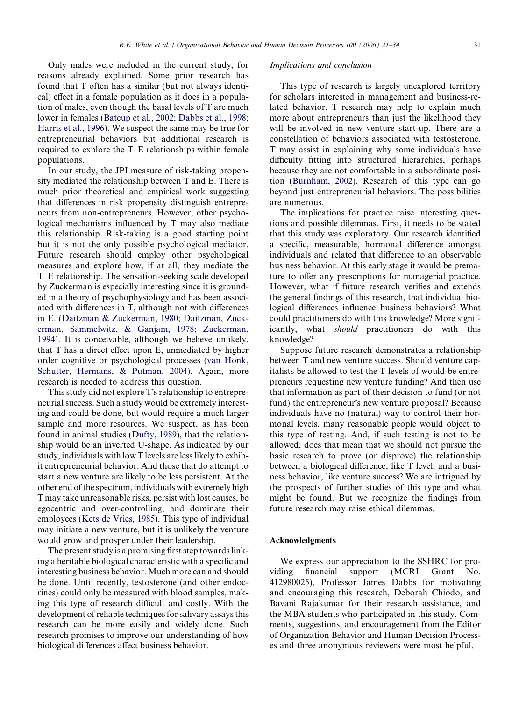Only males were included in the current study, for reasons already explained. Some prior research has found that T often has a similar (but not always identical) effect in a female population as it does in a population of males, even though the basal levels of T are much lower in females ([Bateup et al., 2002; Dabbs et al., 1998;](#page-11-0) [Harris et al., 1996](#page-11-0)). We suspect the same may be true for entrepreneurial behaviors but additional research is required to explore the T–E relationships within female populations.

In our study, the JPI measure of risk-taking propensity mediated the relationship between T and E. There is much prior theoretical and empirical work suggesting that differences in risk propensity distinguish entrepreneurs from non-entrepreneurs. However, other psychological mechanisms influenced by T may also mediate this relationship. Risk-taking is a good starting point but it is not the only possible psychological mediator. Future research should employ other psychological measures and explore how, if at all, they mediate the T–E relationship. The sensation-seeking scale developed by Zuckerman is especially interesting since it is grounded in a theory of psychophysiology and has been associated with differences in T, although not with differences in E. [\(Daitzman & Zuckerman, 1980; Daitzman, Zuck](#page-12-0)[erman, Sammelwitz, & Ganjam, 1978; Zuckerman,](#page-12-0) [1994](#page-12-0)). It is conceivable, although we believe unlikely, that T has a direct effect upon E, unmediated by higher order cognitive or psychological processes (van Honk, Schutter, Hermans, & Putman, 2004). Again, more research is needed to address this question.

This study did not explore T's relationship to entrepreneurial success. Such a study would be extremely interesting and could be done, but would require a much larger sample and more resources. We suspect, as has been found in animal studies [\(Dufty, 1989](#page-11-0)), that the relationship would be an inverted U-shape. As indicated by our study, individuals with low T levels are less likely to exhibit entrepreneurial behavior. And those that do attempt to start a new venture are likely to be less persistent. At the other end of the spectrum, individuals with extremely high T may take unreasonable risks, persist with lost causes, be egocentric and over-controlling, and dominate their employees ([Kets de Vries, 1985](#page-12-0)). This type of individual may initiate a new venture, but it is unlikely the venture would grow and prosper under their leadership.

The present study is a promising first step towards linking a heritable biological characteristic with a specific and interesting business behavior. Much more can and should be done. Until recently, testosterone (and other endocrines) could only be measured with blood samples, making this type of research difficult and costly. With the development of reliable techniques for salivary assays this research can be more easily and widely done. Such research promises to improve our understanding of how biological differences affect business behavior.

## Implications and conclusion

This type of research is largely unexplored territory for scholars interested in management and business-related behavior. T research may help to explain much more about entrepreneurs than just the likelihood they will be involved in new venture start-up. There are a constellation of behaviors associated with testosterone. T may assist in explaining why some individuals have difficulty fitting into structured hierarchies, perhaps because they are not comfortable in a subordinate position [\(Burnham, 2002\)](#page-11-0). Research of this type can go beyond just entrepreneurial behaviors. The possibilities are numerous.

The implications for practice raise interesting questions and possible dilemmas. First, it needs to be stated that this study was exploratory. Our research identified a specific, measurable, hormonal difference amongst individuals and related that difference to an observable business behavior. At this early stage it would be premature to offer any prescriptions for managerial practice. However, what if future research verifies and extends the general findings of this research, that individual biological differences influence business behaviors? What could practitioners do with this knowledge? More significantly, what should practitioners do with this knowledge?

Suppose future research demonstrates a relationship between T and new venture success. Should venture capitalists be allowed to test the T levels of would-be entrepreneurs requesting new venture funding? And then use that information as part of their decision to fund (or not fund) the entrepreneur's new venture proposal? Because individuals have no (natural) way to control their hormonal levels, many reasonable people would object to this type of testing. And, if such testing is not to be allowed, does that mean that we should not pursue the basic research to prove (or disprove) the relationship between a biological difference, like T level, and a business behavior, like venture success? We are intrigued by the prospects of further studies of this type and what might be found. But we recognize the findings from future research may raise ethical dilemmas.

#### Acknowledgments

We express our appreciation to the SSHRC for providing financial support (MCRI Grant No. 412980025), Professor James Dabbs for motivating and encouraging this research, Deborah Chiodo, and Bavani Rajakumar for their research assistance, and the MBA students who participated in this study. Comments, suggestions, and encouragement from the Editor of Organization Behavior and Human Decision Processes and three anonymous reviewers were most helpful.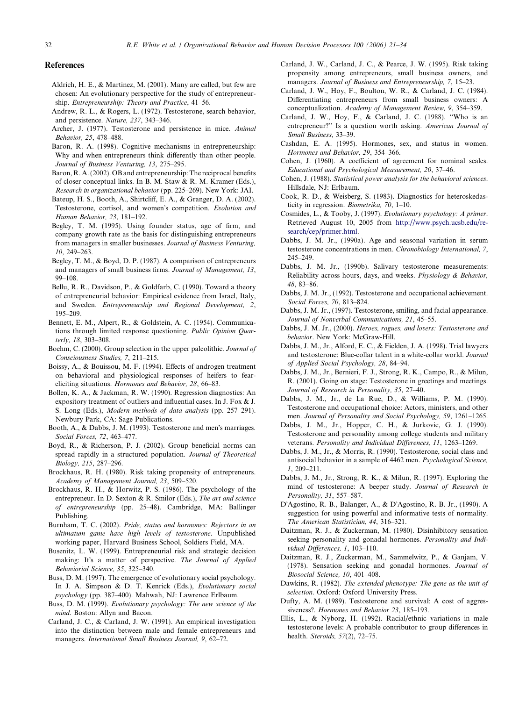#### <span id="page-11-0"></span>References

- Aldrich, H. E., & Martinez, M. (2001). Many are called, but few are chosen: An evolutionary perspective for the study of entrepreneurship. Entrepreneurship: Theory and Practice, 41–56.
- Andrew, R. L., & Rogers, L. (1972). Testosterone, search behavior, and persistence. Nature, 237, 343–346.
- Archer, J. (1977). Testosterone and persistence in mice. Animal Behavior, 25, 478–488.
- Baron, R. A. (1998). Cognitive mechanisms in entrepreneurship: Why and when entrepreneurs think differently than other people. Journal of Business Venturing, 13, 275–295.
- Baron, R. A. (2002). OB and entrepreneurship: The reciprocal benefits of closer conceptual links. In B. M. Staw & R. M. Kramer (Eds.), Research in organizational behavior (pp. 225–269). New York: JAI.
- Bateup, H. S., Booth, A., Shirtcliff, E. A., & Granger, D. A. (2002). Testosterone, cortisol, and women's competition. Evolution and Human Behavior, 23, 181–192.
- Begley, T. M. (1995). Using founder status, age of firm, and company growth rate as the basis for distinguishing entrepreneurs from managers in smaller businesses. Journal of Business Venturing, 10, 249–263.
- Begley, T. M., & Boyd, D. P. (1987). A comparison of entrepreneurs and managers of small business firms. Journal of Management, 13, 99–108.
- Bellu, R. R., Davidson, P., & Goldfarb, C. (1990). Toward a theory of entrepreneurial behavior: Empirical evidence from Israel, Italy, and Sweden. Entrepreneurship and Regional Development, 2, 195–209.
- Bennett, E. M., Alpert, R., & Goldstein, A. C. (1954). Communications through limited response questioning. Public Opinion Quarterly, 18, 303–308.
- Boehm, C. (2000). Group selection in the upper paleolithic. Journal of Consciousness Studies, 7, 211–215.
- Boissy, A., & Bouissou, M. F. (1994). Effects of androgen treatment on behavioral and physiological responses of heifers to feareliciting situations. Hormones and Behavior, 28, 66–83.
- Bollen, K. A., & Jackman, R. W. (1990). Regression diagnostics: An expository treatment of outliers and influential cases. In J. Fox & J. S. Long (Eds.), Modern methods of data analysis (pp. 257–291). Newbury Park, CA: Sage Publications.
- Booth, A., & Dabbs, J. M. (1993). Testosterone and men's marriages. Social Forces, 72, 463–477.
- Boyd, R., & Richerson, P. J. (2002). Group beneficial norms can spread rapidly in a structured population. Journal of Theoretical Biology, 215, 287–296.
- Brockhaus, R. H. (1980). Risk taking propensity of entrepreneurs. Academy of Management Journal, 23, 509–520.
- Brockhaus, R. H., & Horwitz, P. S. (1986). The psychology of the entrepreneur. In D. Sexton & R. Smilor (Eds.), The art and science of entrepreneurship (pp. 25–48). Cambridge, MA: Ballinger Publishing.
- Burnham, T. C. (2002). Pride, status and hormones: Rejectors in an ultimatum game have high levels of testosterone. Unpublished working paper, Harvard Business School, Soldiers Field, MA.
- Busenitz, L. W. (1999). Entrepreneurial risk and strategic decision making: It's a matter of perspective. The Journal of Applied Behaviorial Science, 35, 325–340.
- Buss, D. M. (1997). The emergence of evolutionary social psychology. In J. A. Simpson & D. T. Kenrick (Eds.), Evolutionary social psychology (pp. 387–400). Mahwah, NJ: Lawrence Erlbaum.
- Buss, D. M. (1999). Evolutionary psychology: The new science of the mind. Boston: Allyn and Bacon.
- Carland, J. C., & Carland, J. W. (1991). An empirical investigation into the distinction between male and female entrepreneurs and managers. International Small Business Journal, 9, 62–72.
- Carland, J. W., Carland, J. C., & Pearce, J. W. (1995). Risk taking propensity among entrepreneurs, small business owners, and managers. Journal of Business and Entrepreneurship, 7, 15–23.
- Carland, J. W., Hoy, F., Boulton, W. R., & Carland, J. C. (1984). Differentiating entrepreneurs from small business owners: A conceptualization. Academy of Management Review, 9, 354–359.
- Carland, J. W., Hoy, F., & Carland, J. C. (1988). ''Who is an entrepreneur?" Is a question worth asking. American Journal of Small Business, 33–39.
- Cashdan, E. A. (1995). Hormones, sex, and status in women. Hormones and Behavior, 29, 354–366.
- Cohen, J. (1960). A coefficient of agreement for nominal scales. Educational and Psychological Measurement, 20, 37–46.
- Cohen, J. (1988). Statistical power analysis for the behavioral sciences. Hillsdale, NJ: Erlbaum.
- Cook, R. D., & Weisberg, S. (1983). Diagnostics for heteroskedasticity in regression. Biometrika, 70, 1–10.
- Cosmides, L., & Tooby, J. (1997). Evolutionary psychology: A primer. Retrieved August 10, 2005 from [http://www.psych.ucsb.edu/re](http:///www.psych.ucsb.edu/research/cep/primer.html)[search/cep/primer.html.](http:///www.psych.ucsb.edu/research/cep/primer.html)
- Dabbs, J. M. Jr., (1990a). Age and seasonal variation in serum testosterone concentrations in men. Chronobiology International, 7, 245–249.
- Dabbs, J. M. Jr., (1990b). Salivary testosterone measurements: Reliability across hours, days, and weeks. Physiology & Behavior, 48, 83–86.
- Dabbs, J. M. Jr., (1992). Testosterone and occupational achievement. Social Forces, 70, 813–824.
- Dabbs, J. M. Jr., (1997). Testosterone, smiling, and facial appearance. Journal of Nonverbal Communications, 21, 45–55.
- Dabbs, J. M. Jr., (2000). Heroes, rogues, and lovers: Testosterone and behavior. New York: McGraw-Hill.
- Dabbs, J. M., Jr., Alford, E. C., & Fielden, J. A. (1998). Trial lawyers and testosterone: Blue-collar talent in a white-collar world. Journal of Applied Social Psychology, 28, 84–94.
- Dabbs, J. M., Jr., Bernieri, F. J., Strong, R. K., Campo, R., & Milun, R. (2001). Going on stage: Testosterone in greetings and meetings. Journal of Research in Personality, 35, 27–40.
- Dabbs, J. M., Jr., de La Rue, D., & Williams, P. M. (1990). Testosterone and occupational choice: Actors, ministers, and other men. Journal of Personality and Social Psychology, 59, 1261–1265.
- Dabbs, J. M., Jr., Hopper, C. H., & Jurkovic, G. J. (1990). Testosterone and personality among college students and military veterans. Personality and Individual Differences, 11, 1263–1269.
- Dabbs, J. M., Jr., & Morris, R. (1990). Testosterone, social class and antisocial behavior in a sample of 4462 men. Psychological Science, 1, 209–211.
- Dabbs, J. M., Jr., Strong, R. K., & Milun, R. (1997). Exploring the mind of testosterone: A beeper study. Journal of Research in Personality, 31, 557–587.
- D'Agostino, R. B., Balanger, A., & D'Agostino, R. B. Jr., (1990). A suggestion for using powerful and informative tests of normality. The American Statistician, 44, 316–321.
- Daitzman, R. J., & Zuckerman, M. (1980). Disinhibitory sensation seeking personality and gonadal hormones. Personality and Individual Differences, 1, 103–110.
- Daitzman, R. J., Zuckerman, M., Sammelwitz, P., & Ganjam, V. (1978). Sensation seeking and gonadal hormones. Journal of Biosocial Science, 10, 401–408.
- Dawkins, R. (1982). The extended phenotype: The gene as the unit of selection. Oxford: Oxford University Press.
- Dufty, A. M. (1989). Testosterone and survival: A cost of aggressiveness?. Hormones and Behavior 23, 185–193.
- Ellis, L., & Nyborg, H. (1992). Racial/ethnic variations in male testosterone levels: A probable contributor to group differences in health. Steroids, 57(2), 72–75.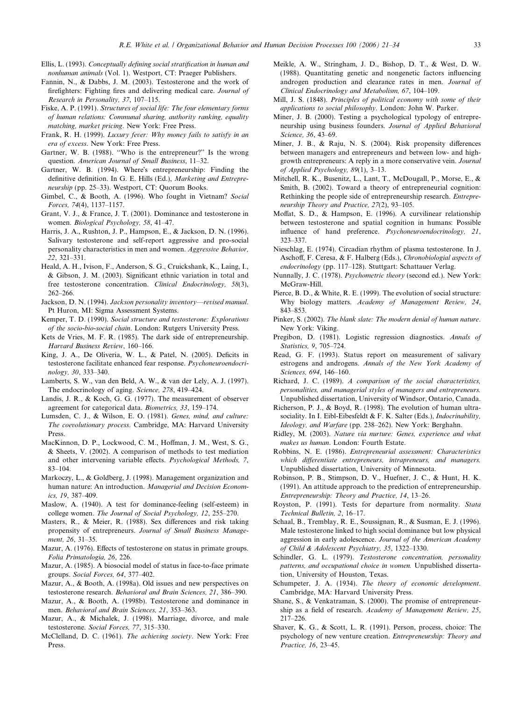- <span id="page-12-0"></span>Ellis, L. (1993). Conceptually defining social stratification in human and nonhuman animals (Vol. 1). Westport, CT: Praeger Publishers.
- Fannin, N., & Dabbs, J. M. (2003). Testosterone and the work of firefighters: Fighting fires and delivering medical care. Journal of Research in Personality, 37, 107–115.
- Fiske, A. P. (1991). Structures of social life: The four elementary forms of human relations: Communal sharing, authority ranking, equality matching, market pricing. New York: Free Press.
- Frank, R. H. (1999). Luxury fever: Why money fails to satisfy in an era of excess. New York: Free Press.
- Gartner, W. B. (1988). ''Who is the entrepreneur?'' Is the wrong question. American Journal of Small Business, 11–32.
- Gartner, W. B. (1994). Where's entrepreneurship: Finding the definitive definition. In G. E. Hills (Ed.), Marketing and Entrepreneurship (pp. 25–33). Westport, CT: Quorum Books.
- Gimbel, C., & Booth, A. (1996). Who fought in Vietnam? Social Forces, 74(4), 1137–1157.
- Grant, V. J., & France, J. T. (2001). Dominance and testosterone in women. Biological Psychology, 58, 41–47.
- Harris, J. A., Rushton, J. P., Hampson, E., & Jackson, D. N. (1996). Salivary testosterone and self-report aggressive and pro-social personality characteristics in men and women. Aggressive Behavior, 22, 321–331.
- Heald, A. H., Ivison, F., Anderson, S. G., Cruickshank, K., Laing, I., & Gibson, J. M. (2003). Significant ethnic variation in total and free testosterone concentration. Clinical Endocrinology, 58(3), 262–266.
- Jackson, D. N. (1994). Jackson personality inventory—revised manual. Pt Huron, MI: Sigma Assessment Systems.
- Kemper, T. D. (1990). Social structure and testosterone: Explorations of the socio-bio-social chain. London: Rutgers University Press.
- Kets de Vries, M. F. R. (1985). The dark side of entrepreneurship. Harvard Business Review, 160–166.
- King, J. A., De Oliveria, W. L., & Patel, N. (2005). Deficits in testosterone facilitate enhanced fear response. Psychoneuroendocrinology, 30, 333–340.
- Lamberts, S. W., van den Beld, A. W., & van der Lely, A. J. (1997). The endocrinology of aging. Science, 278, 419–424.
- Landis, J. R., & Koch, G. G. (1977). The measurement of observer agreement for categorical data. Biometrics, 33, 159–174.
- Lumsden, C. J., & Wilson, E. O. (1981). Genes, mind, and culture: The coevolutionary process. Cambridge, MA: Harvard University Press.
- MacKinnon, D. P., Lockwood, C. M., Hoffman, J. M., West, S. G., & Sheets, V. (2002). A comparison of methods to test mediation and other intervening variable effects. Psychological Methods, 7, 83–104.
- Markoczy, L., & Goldberg, J. (1998). Management organization and human nature: An introduction. Managerial and Decision Economics, 19, 387–409.
- Maslow, A. (1940). A test for dominance-feeling (self-esteem) in college women. The Journal of Social Psychology, 12, 255–270.
- Masters, R., & Meier, R. (1988). Sex differences and risk taking propensity of entrepreneurs. Journal of Small Business Management, 26, 31–35.
- Mazur, A. (1976). Effects of testosterone on status in primate groups. Folia Primatologia, 26, 226.
- Mazur, A. (1985). A biosocial model of status in face-to-face primate groups. Social Forces, 64, 377–402.
- Mazur, A., & Booth, A. (1998a). Old issues and new perspectives on testosterone research. Behavioral and Brain Sciences, 21, 386–390.
- Mazur, A., & Booth, A. (1998b). Testosterone and dominance in men. Behavioral and Brain Sciences, 21, 353–363.
- Mazur, A., & Michalek, J. (1998). Marriage, divorce, and male testosterone. Social Forces, 77, 315–330.
- McClelland, D. C. (1961). The achieving society. New York: Free Press.
- Meikle, A. W., Stringham, J. D., Bishop, D. T., & West, D. W. (1988). Quantitating genetic and nongenetic factors influencing androgen production and clearance rates in men. Journal of Clinical Endocrinology and Metabolism, 67, 104–109.
- Mill, J. S. (1848). Principles of political economy with some of their applications to social philosophy. London: John W. Parker.
- Miner, J. B. (2000). Testing a psychological typology of entrepreneurship using business founders. Journal of Applied Behavioral Science, 36, 43–69.
- Miner, J. B., & Raju, N. S. (2004). Risk propensity differences between managers and entrepreneurs and between low- and highgrowth entrepreneurs: A reply in a more conservative vein. Journal of Applied Psychology, 89(1), 3–13.
- Mitchell, R. K., Busenitz, L., Lant, T., McDougall, P., Morse, E., & Smith, B. (2002). Toward a theory of entrepreneurial cognition: Rethinking the people side of entrepreneurship research. Entrepreneurship Theory and Practice, 27(2), 93–105.
- Moffat, S. D., & Hampson, E. (1996). A curvilinear relationship between testosterone and spatial cognition in humans: Possible influence of hand preference. Psychoneuroendocrinology, 21, 323–337.
- Nieschlag, E. (1974). Circadian rhythm of plasma testosterone. In J. Aschoff, F. Ceresa, & F. Halberg (Eds.), Chronobiologial aspects of endocrinology (pp. 117–128). Stuttgart: Schattauer Verlag.
- Nunnally, J. C. (1978). Psychometric theory (second ed.). New York: McGraw-Hill.
- Pierce, B. D., & White, R. E. (1999). The evolution of social structure: Why biology matters. Academy of Management Review, 24, 843–853.
- Pinker, S. (2002). The blank slate: The modern denial of human nature. New York: Viking.
- Pregibon, D. (1981). Logistic regression diagnostics. Annals of Statistics, 9, 705–724.
- Read, G. F. (1993). Status report on measurement of salivary estrogens and androgens. Annals of the New York Academy of Sciences, 694, 146–160.
- Richard, J. C. (1989). A comparison of the social characteristics, personalities, and managerial styles of managers and entrepreneurs. Unpublished dissertation, University of Windsor, Ontario, Canada.
- Richerson, P. J., & Boyd, R. (1998). The evolution of human ultrasociality. In I. Eibl-Eibesfeldt & F. K. Salter (Eds.), Indocrinability, Ideology, and Warfare (pp. 238–262). New York: Berghahn.
- Ridley, M. (2003). Nature via nurture: Genes, experience and what makes us human. London: Fourth Estate.
- Robbins, N. E. (1986). Entrepreneurial assessment: Characteristics which differentiate entrepreneurs, intrapreneurs, and managers. Unpublished dissertation, University of Minnesota.
- Robinson, P. B., Stimpson, D. V., Huefner, J. C., & Hunt, H. K. (1991). An attitude approach to the prediction of entrepreneurship. Entrepreneurship: Theory and Practice, 14, 13–26.
- Royston, P. (1991). Tests for departure from normality. Stata Technical Bulletin, 2, 16–17.
- Schaal, B., Tremblay, R. E., Soussignan, R., & Susman, E. J. (1996). Male testosterone linked to high social dominance but low physical aggression in early adolescence. Journal of the American Academy of Child & Adolescent Psychiatry, 35, 1322–1330.
- Schindler, G. L. (1979). Testosterone concentration, personality patterns, and occupational choice in women. Unpublished dissertation, University of Houston, Texas.
- Schumpeter, J. A. (1934). The theory of economic development. Cambridge, MA: Harvard University Press.
- Shane, S., & Venkatraman, S. (2000). The promise of entrepreneurship as a field of research. Academy of Management Review, 25, 217–226.
- Shaver, K. G., & Scott, L. R. (1991). Person, process, choice: The psychology of new venture creation. Entrepreneurship: Theory and Practice, 16, 23–45.